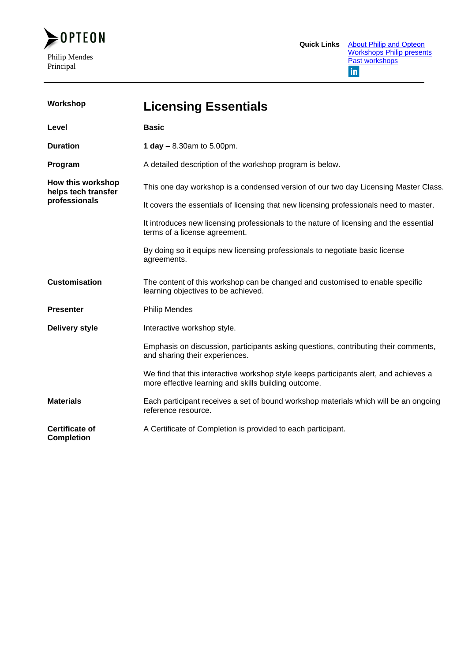

| Workshop                                 | <b>Licensing Essentials</b>                                                                                                                   |
|------------------------------------------|-----------------------------------------------------------------------------------------------------------------------------------------------|
| Level                                    | <b>Basic</b>                                                                                                                                  |
| <b>Duration</b>                          | 1 day $-8.30$ am to 5.00pm.                                                                                                                   |
| Program                                  | A detailed description of the workshop program is below.                                                                                      |
| How this workshop<br>helps tech transfer | This one day workshop is a condensed version of our two day Licensing Master Class.                                                           |
| professionals                            | It covers the essentials of licensing that new licensing professionals need to master.                                                        |
|                                          | It introduces new licensing professionals to the nature of licensing and the essential<br>terms of a license agreement.                       |
|                                          | By doing so it equips new licensing professionals to negotiate basic license<br>agreements.                                                   |
| <b>Customisation</b>                     | The content of this workshop can be changed and customised to enable specific<br>learning objectives to be achieved.                          |
| <b>Presenter</b>                         | <b>Philip Mendes</b>                                                                                                                          |
| <b>Delivery style</b>                    | Interactive workshop style.                                                                                                                   |
|                                          | Emphasis on discussion, participants asking questions, contributing their comments,<br>and sharing their experiences.                         |
|                                          | We find that this interactive workshop style keeps participants alert, and achieves a<br>more effective learning and skills building outcome. |
| <b>Materials</b>                         | Each participant receives a set of bound workshop materials which will be an ongoing<br>reference resource.                                   |
| Certificate of<br><b>Completion</b>      | A Certificate of Completion is provided to each participant.                                                                                  |